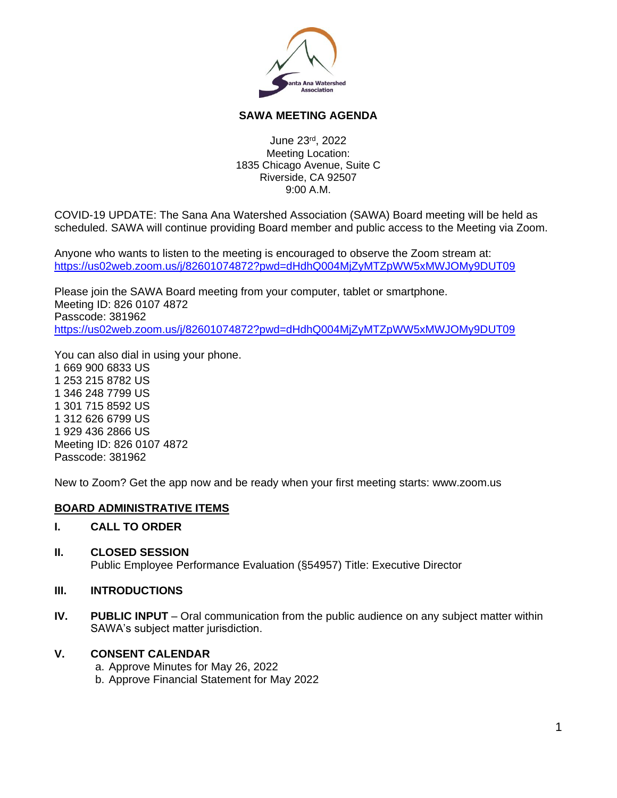

## **SAWA MEETING AGENDA**

June 23 rd , 2022 Meeting Location: 1835 Chicago Avenue, Suite C Riverside, CA 92507 9:00 A.M.

COVID-19 UPDATE: The Sana Ana Watershed Association (SAWA) Board meeting will be held as scheduled. SAWA will continue providing Board member and public access to the Meeting via Zoom.

Anyone who wants to listen to the meeting is encouraged to observe the Zoom stream at: <https://us02web.zoom.us/j/82601074872?pwd=dHdhQ004MjZyMTZpWW5xMWJOMy9DUT09>

Please join the SAWA Board meeting from your computer, tablet or smartphone. Meeting ID: 826 0107 4872 Passcode: 381962 <https://us02web.zoom.us/j/82601074872?pwd=dHdhQ004MjZyMTZpWW5xMWJOMy9DUT09>

You can also dial in using your phone. 1 669 900 6833 US 1 253 215 8782 US 1 346 248 7799 US 1 301 715 8592 US 1 312 626 6799 US 1 929 436 2866 US Meeting ID: 826 0107 4872 Passcode: 381962

New to Zoom? Get the app now and be ready when your first meeting starts: www.zoom.us

## **BOARD ADMINISTRATIVE ITEMS**

#### **I. CALL TO ORDER**

**II. CLOSED SESSION** Public Employee Performance Evaluation (§54957) Title: Executive Director

#### **III. INTRODUCTIONS**

**IV. PUBLIC INPUT** – Oral communication from the public audience on any subject matter within SAWA's subject matter jurisdiction.

# **V. CONSENT CALENDAR**

a. Approve Minutes for May 26, 2022

b. Approve Financial Statement for May 2022